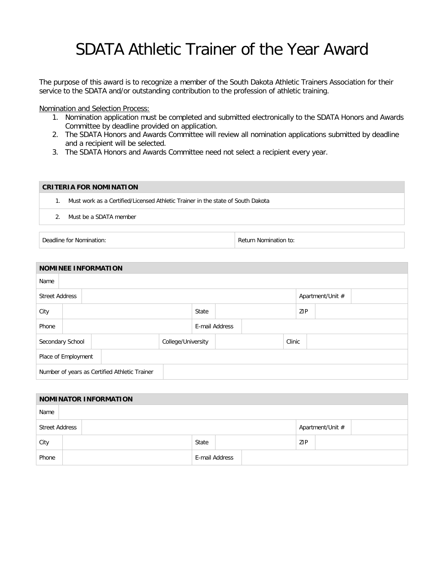## SDATA Athletic Trainer of the Year Award

The purpose of this award is to recognize a member of the South Dakota Athletic Trainers Association for their service to the SDATA and/or outstanding contribution to the profession of athletic training.

Nomination and Selection Process:

- 1. Nomination application must be completed and submitted electronically to the SDATA Honors and Awards Committee by deadline provided on application.
- 2. The SDATA Honors and Awards Committee will review all nomination applications submitted by deadline and a recipient will be selected.
- 3. The SDATA Honors and Awards Committee need not select a recipient every year.

## **CRITERIA FOR NOMINATION** 1. Must work as a Certified/Licensed Athletic Trainer in the state of South Dakota 2. Must be a SDATA member

Deadline for Nomination: The Contraction of the Return Nomination to:

| <b>NOMINEE INFORMATION</b>                    |  |  |  |                    |       |                |  |        |                  |  |  |  |
|-----------------------------------------------|--|--|--|--------------------|-------|----------------|--|--------|------------------|--|--|--|
| Name                                          |  |  |  |                    |       |                |  |        |                  |  |  |  |
| <b>Street Address</b>                         |  |  |  |                    |       |                |  |        | Apartment/Unit # |  |  |  |
| City                                          |  |  |  |                    | State |                |  |        | ZIP              |  |  |  |
| Phone                                         |  |  |  |                    |       | E-mail Address |  |        |                  |  |  |  |
| Secondary School                              |  |  |  | College/University |       |                |  | Clinic |                  |  |  |  |
| Place of Employment                           |  |  |  |                    |       |                |  |        |                  |  |  |  |
| Number of years as Certified Athletic Trainer |  |  |  |                    |       |                |  |        |                  |  |  |  |

| <b>NOMINATOR INFORMATION</b> |  |  |                |  |  |                  |  |  |  |  |
|------------------------------|--|--|----------------|--|--|------------------|--|--|--|--|
| Name                         |  |  |                |  |  |                  |  |  |  |  |
| <b>Street Address</b>        |  |  |                |  |  | Apartment/Unit # |  |  |  |  |
| City                         |  |  |                |  |  | ZIP              |  |  |  |  |
| Phone                        |  |  | E-mail Address |  |  |                  |  |  |  |  |